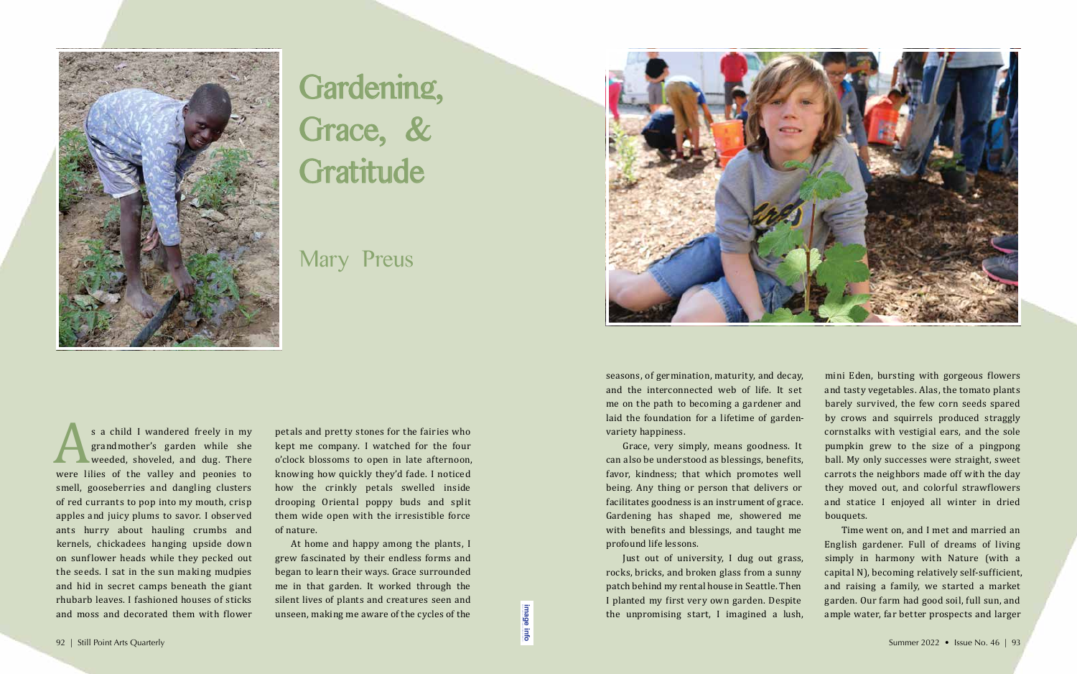s a child I wandered freely in my<br>grandmother's garden while she<br>weeded, shoveled, and dug. There<br>were lilies of the valley and peonies to<br>smell gooseherries and dangling clusters grandmother's garden while she weeded, shoveled, and dug. There were lilies of the valley and peonies to smell, gooseberries and dangling clusters of red currants to pop into my mouth, crisp apples and juicy plums to savor. I observed ants hurry about hauling crumbs and kernels, chickadees hanging upside down on sunflower heads while they pecked out the seeds. I sat in the sun making mudpies and hid in secret camps beneath the giant rhubarb leaves. I fashioned houses of sticks and moss and decorated them with flower

At home and happy among the plants, I grew fascinated by their endless forms and began to learn their ways. Grace surrounded me in that garden. It worked through the silent lives of plants and creatures seen and unseen, making me aware of the cycles of the 92 | Still Point Arts Quarterly Summer 2022 • Issue No. 46 | 93<br>92 | Still Point Arts Quarterly Summer 2022 • Issue No. 46 | 93<br>92 | Still Point Arts Quarterly Summer 2022 • Issue No. 46 | 93

petals and pretty stones for the fairies who kept me company. I watched for the four o'clock blossoms to open in late afternoon, knowing how quickly they'd fade. I noticed how the crinkly petals swelled inside drooping Oriental poppy buds and split them wide open with the irresistible force of nature.

seasons, of germination, maturity, and decay, and the interconnected web of life. It set me on the path to becoming a gardener and laid the foundation for a lifetime of gardenvariety happiness.

Grace, very simply, means goodness. It can also be understood as blessings, benefits, favor, kindness; that which promotes well being. Any thing or person that delivers or facilitates goodness is an instrument of grace. Gardening has shaped me, showered me with benefits and blessings, and taught me profound life lessons.

Just out of university, I dug out grass, rocks, bricks, and broken glass from a sunny patch behind my rental house in Seattle. Then I planted my first very own garden. Despite the unpromising start, I imagined a lush,

mini Eden, bursting with gorgeous flowers and tasty vegetables. Alas, the tomato plants barely survived, the few corn seeds spared by crows and squirrels produced straggly cornstalks with vestigial ears, and the sole pumpkin grew to the size of a pingpong ball. My only successes were straight, sweet carrots the neighbors made off with the day they moved out, and colorful strawflowers and statice I enjoyed all winter in dried bouquets. Time went on, and I met and married an English gardener. Full of dreams of living

simply in harmony with Nature (with a capital N), becoming relatively self-sufficient, and raising a family, we started a market garden. Our farm had good soil, full sun, and ample water, far better prospects and larger



## Gardening, Grace, & Gratitude

Mary Preus



**[image info](http://www.shantiarts.co/SPAQ/SPAQ46/files/SPAQ46_SUM22_DIGITAL_IMAGECREDITS.pdf)**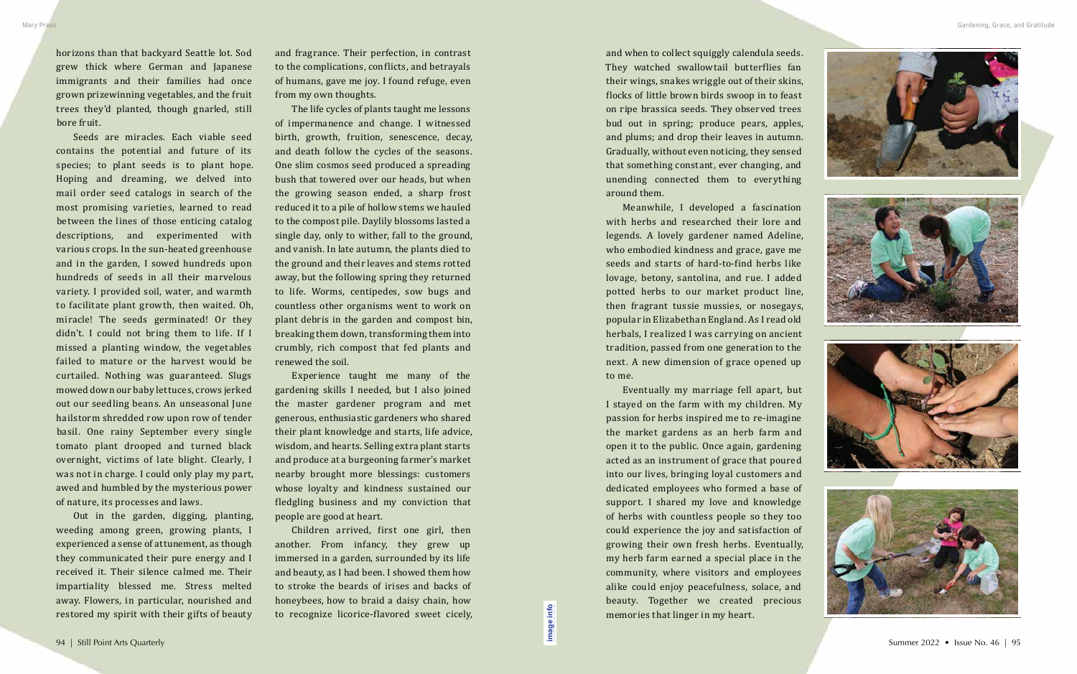horizons than that backyard Seattle lot. Sod grew thick where German and Japanese immigrants and their families had once grown prizewinning vegetables, and the fruit trees they'd planted, though gnarled, still bore fruit.

Seeds are miracles. Each viable seed contains the potential and future of its species; to plant seeds is to plant hope. Hoping and dreaming, we delved into mail order seed catalogs in search of the most promising varieties, learned to read between the lines of those enticing catalog descriptions, and experimented with various crops. In the sun-heated greenhouse and in the garden, I sowed hundreds upon hundreds of seeds in all their marvelous variety. I provided soil, water, and warmth to facilitate plant growth, then waited. Oh, miracle! The seeds germinated! Or they didn't. I could not bring them to life. If I missed a planting window, the vegetables failed to mature or the harvest would be curtailed. Nothing was guaranteed. Slugs mowed down our baby lettuces, crows jerked out our seedling beans. An unseasonal June hailstorm shredded row upon row of tender basil. One rainy September every single tomato plant drooped and turned black overnight, victims of late blight. Clearly, I was not in charge. I could only play my part, awed and humbled by the mysterious power of nature, its processes and laws.

Out in the garden, digging, planting, weeding among green, growing plants, I experienced a sense of attunement, as though they communicated their pure energy and I received it. Their silence calmed me. Their impartiality blessed me. Stress melted away. Flowers, in particular, nourished and restored my spirit with their gifts of beauty

and fragrance. Their perfection, in contrast to the complications, conflicts, and betrayals of humans, gave me joy. I found refuge, even from my own thoughts.

The life cycles of plants taught me lessons of impermanence and change. I witnessed birth, growth, fruition, senescence, decay, and death follow the cycles of the seasons. One slim cosmos seed produced a spreading bush that towered over our heads, but when the growing season ended, a sharp frost reduced it to a pile of hollow stems we hauled to the compost pile. Daylily blossoms lasted a single day, only to wither, fall to the ground, and vanish. In late autumn, the plants died to the ground and their leaves and stems rotted away, but the following spring they returned to life. Worms, centipedes, sow bugs and countless other organisms went to work on plant debris in the garden and compost bin, breaking them down, transforming them into crumbly, rich compost that fed plants and renewed the soil.

Experience taught me many of the gardening skills I needed, but I also joined the master gardener program and met generous, enthusiastic gardeners who shared their plant knowledge and starts, life advice, wisdom, and hearts. Selling extra plant starts and produce at a burgeoning farmer's market nearby brought more blessings: customers whose loyalty and kindness sustained our fledgling business and my conviction that people are good at heart.

Children arrived, first one girl, then another. From infancy, they grew up immersed in a garden, surrounded by its life and beauty, as I had been. I showed them how to stroke the beards of irises and backs of honeybees, how to braid a daisy chain, how to recognize licorice-flavored sweet cicely,

and when to collect squiggly calendula seeds. They watched swallowtail butterflies fan their wings, snakes wriggle out of their skins, flocks of little brown birds swoop in to feast on ripe brassica seeds. They observed trees bud out in spring; produce pears, apples, and plums; and drop their leaves in autumn. Gradually, without even noticing, they sensed that something constant, ever changing, and unending connected them to everything around them.

Meanwhile, I developed a fascination with herbs and researched their lore and legends. A lovely gardener named Adeline, who embodied kindness and grace, gave me seeds and starts of hard-to-find herbs like lovage, betony, santolina, and rue. I added potted herbs to our market product line, then fragrant tussie mussies, or nosegays, popular in Elizabethan England. As I read old herbals, I realized I was carrying on ancient tradition, passed from one generation to the next. A new dimension of grace opened up to me.

Eventually my marriage fell apart, but I stayed on the farm with my children. My passion for herbs inspired me to re-imagine the market gardens as an herb farm and open it to the public. Once again, gardening acted as an instrument of grace that poured into our lives, bringing loyal customers and dedicated employees who formed a base of support. I shared my love and knowledge of herbs with countless people so they too could experience the joy and satisfaction of growing their own fresh herbs. Eventually, my herb farm earned a special place in the community, where visitors and employees alike could enjoy peacefulness, solace, and beauty. Together we created precious memories that linger in my heart.

**[image info](http://www.shantiarts.co/SPAQ/SPAQ46/files/SPAQ46_SUM22_DIGITAL_IMAGECREDITS.pdf)**